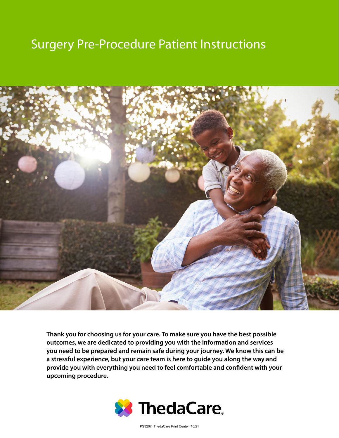# Surgery Pre-Procedure Patient Instructions



**Thank you for choosing us for your care. To make sure you have the best possible outcomes, we are dedicated to providing you with the information and services you need to be prepared and remain safe during your journey. We know this can be a stressful experience, but your care team is here to guide you along the way and provide you with everything you need to feel comfortable and confident with your upcoming procedure.**



PS3207 ThedaCare Print Center 10/21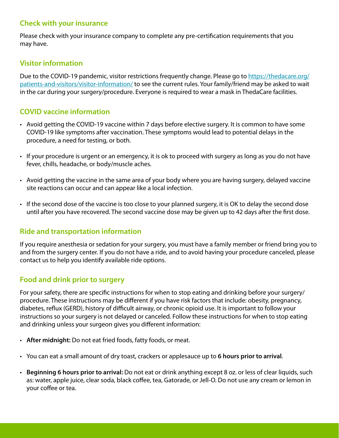# **Check with your insurance**

Please check with your insurance company to complete any pre-certification requirements that you may have.

# **Visitor information**

Due to the COVID-19 pandemic, visitor restrictions frequently change. Please go to https://thedacare.org/ patients-and-visitors/visitor-information/ to see the current rules. Your family/friend may be asked to wait in the car during your surgery/procedure. Everyone is required to wear a mask in ThedaCare facilities.

# **COVID vaccine information**

- Avoid getting the COVID-19 vaccine within 7 days before elective surgery. It is common to have some COVID-19 like symptoms after vaccination. These symptoms would lead to potential delays in the procedure, a need for testing, or both.
- If your procedure is urgent or an emergency, it is ok to proceed with surgery as long as you do not have fever, chills, headache, or body/muscle aches.
- Avoid getting the vaccine in the same area of your body where you are having surgery, delayed vaccine site reactions can occur and can appear like a local infection.
- If the second dose of the vaccine is too close to your planned surgery, it is OK to delay the second dose until after you have recovered. The second vaccine dose may be given up to 42 days after the first dose.

# **Ride and transportation information**

If you require anesthesia or sedation for your surgery, you must have a family member or friend bring you to and from the surgery center. If you do not have a ride, and to avoid having your procedure canceled, please contact us to help you identify available ride options.

# **Food and drink prior to surgery**

For your safety, there are specific instructions for when to stop eating and drinking before your surgery/ procedure. These instructions may be different if you have risk factors that include: obesity, pregnancy, diabetes, reflux (GERD), history of difficult airway, or chronic opioid use. It is important to follow your instructions so your surgery is not delayed or canceled. Follow these instructions for when to stop eating and drinking unless your surgeon gives you different information:

- **After midnight:** Do not eat fried foods, fatty foods, or meat.
- You can eat a small amount of dry toast, crackers or applesauce up to **6 hours prior to arrival**.
- **Beginning 6 hours prior to arrival:** Do not eat or drink anything except 8 oz. or less of clear liquids, such as: water, apple juice, clear soda, black coffee, tea, Gatorade, or Jell-O. Do not use any cream or lemon in your coffee or tea.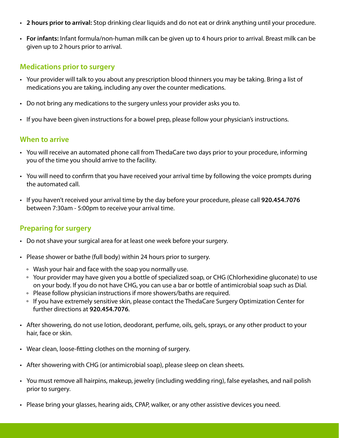- **2 hours prior to arrival:** Stop drinking clear liquids and do not eat or drink anything until your procedure.
- **For infants:** Infant formula/non-human milk can be given up to 4 hours prior to arrival. Breast milk can be given up to 2 hours prior to arrival.

#### **Medications prior to surgery**

- Your provider will talk to you about any prescription blood thinners you may be taking. Bring a list of medications you are taking, including any over the counter medications.
- Do not bring any medications to the surgery unless your provider asks you to.
- If you have been given instructions for a bowel prep, please follow your physician's instructions.

#### **When to arrive**

- You will receive an automated phone call from ThedaCare two days prior to your procedure, informing you of the time you should arrive to the facility.
- You will need to confirm that you have received your arrival time by following the voice prompts during the automated call.
- If you haven't received your arrival time by the day before your procedure, please call **920.454.7076** between 7:30am - 5:00pm to receive your arrival time.

#### **Preparing for surgery**

- Do not shave your surgical area for at least one week before your surgery.
- Please shower or bathe (full body) within 24 hours prior to surgery.
	- ° Wash your hair and face with the soap you normally use.
	- ° Your provider may have given you a bottle of specialized soap, or CHG (Chlorhexidine gluconate) to use on your body. If you do not have CHG, you can use a bar or bottle of antimicrobial soap such as Dial.
	- ° Please follow physician instructions if more showers/baths are required.
	- $\, \circ \,$  If you have extremely sensitive skin, please contact the ThedaCare Surgery Optimization Center for further directions at **920.454.7076**.
- After showering, do not use lotion, deodorant, perfume, oils, gels, sprays, or any other product to your hair, face or skin.
- Wear clean, loose-fitting clothes on the morning of surgery.
- After showering with CHG (or antimicrobial soap), please sleep on clean sheets.
- You must remove all hairpins, makeup, jewelry (including wedding ring), false eyelashes, and nail polish prior to surgery.
- Please bring your glasses, hearing aids, CPAP, walker, or any other assistive devices you need.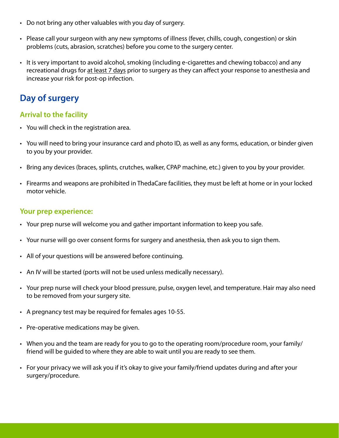- Do not bring any other valuables with you day of surgery.
- Please call your surgeon with any new symptoms of illness (fever, chills, cough, congestion) or skin problems (cuts, abrasion, scratches) before you come to the surgery center.
- It is very important to avoid alcohol, smoking (including e-cigarettes and chewing tobacco) and any recreational drugs for at least 7 days prior to surgery as they can affect your response to anesthesia and increase your risk for post-op infection.

# **Day of surgery**

## **Arrival to the facility**

- You will check in the registration area.
- You will need to bring your insurance card and photo ID, as well as any forms, education, or binder given to you by your provider.
- Bring any devices (braces, splints, crutches, walker, CPAP machine, etc.) given to you by your provider.
- Firearms and weapons are prohibited in ThedaCare facilities, they must be left at home or in your locked motor vehicle.

#### **Your prep experience:**

- Your prep nurse will welcome you and gather important information to keep you safe.
- Your nurse will go over consent forms for surgery and anesthesia, then ask you to sign them.
- All of your questions will be answered before continuing.
- An IV will be started (ports will not be used unless medically necessary).
- Your prep nurse will check your blood pressure, pulse, oxygen level, and temperature. Hair may also need to be removed from your surgery site.
- A pregnancy test may be required for females ages 10-55.
- Pre-operative medications may be given.
- When you and the team are ready for you to go to the operating room/procedure room, your family/ friend will be guided to where they are able to wait until you are ready to see them.
- For your privacy we will ask you if it's okay to give your family/friend updates during and after your surgery/procedure.